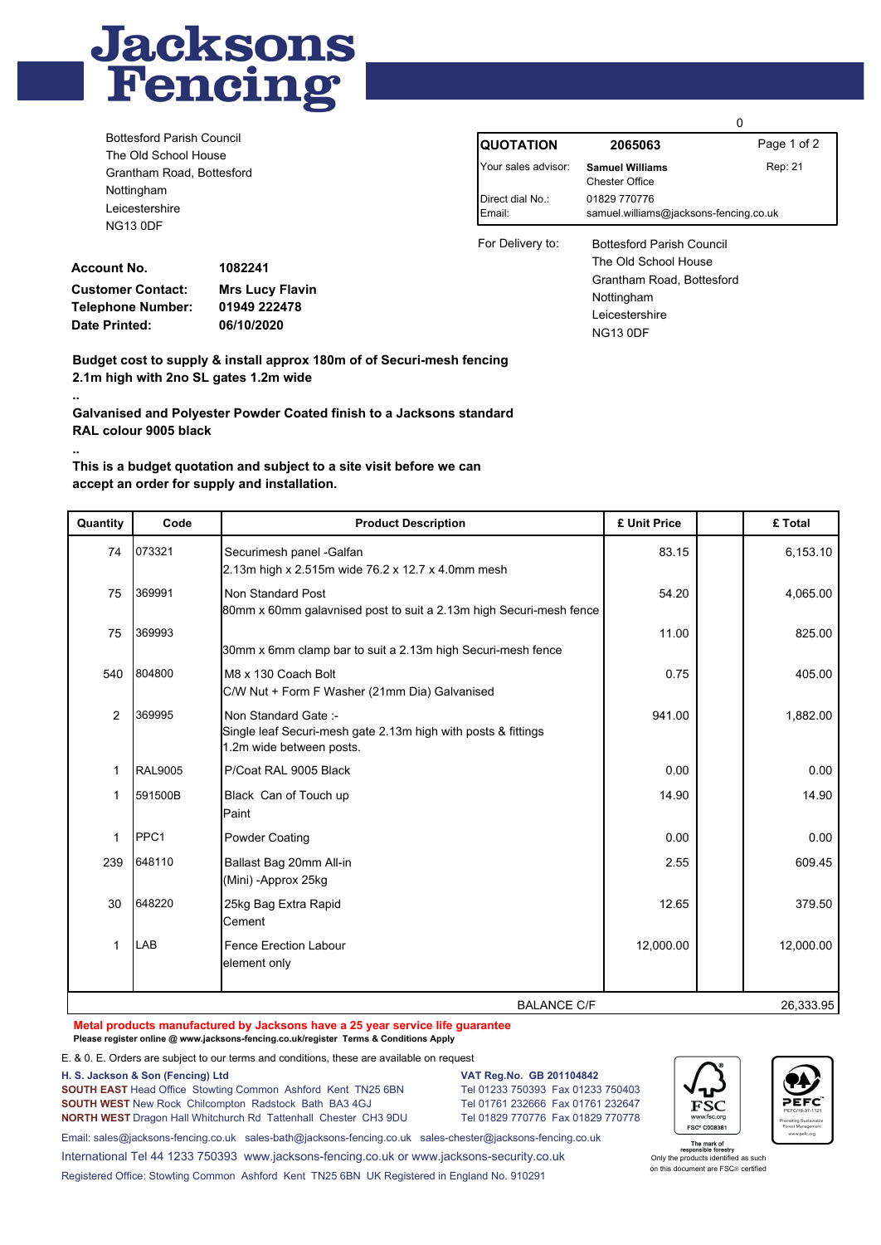

|                                                                                                                                                                           |              |                             | 0                                                      |             |  |
|---------------------------------------------------------------------------------------------------------------------------------------------------------------------------|--------------|-----------------------------|--------------------------------------------------------|-------------|--|
| <b>Bottesford Parish Council</b><br>The Old School House<br>Grantham Road, Bottesford<br>Nottingham<br>Leicestershire<br><b>NG13 0DF</b><br><b>Account No.</b><br>1082241 |              | IQUOTATION                  | 2065063                                                | Page 1 of 2 |  |
|                                                                                                                                                                           |              | Your sales advisor:         | <b>Samuel Williams</b><br><b>Chester Office</b>        | Rep: 21     |  |
|                                                                                                                                                                           |              | l Direct dial No∴<br>Email: | 01829 770776<br>samuel.williams@jacksons-fencing.co.uk |             |  |
|                                                                                                                                                                           |              | For Delivery to:            | <b>Bottesford Parish Council</b>                       |             |  |
|                                                                                                                                                                           |              |                             | The Old School House                                   |             |  |
|                                                                                                                                                                           |              |                             | Grantham Road, Bottesford                              |             |  |
| <b>Customer Contact:</b><br><b>Mrs Lucy Flavin</b>                                                                                                                        |              |                             | Nottingham                                             |             |  |
| Telephone Number:<br>_ . _                                                                                                                                                | 01949 222478 |                             | Leicestershire                                         |             |  |

NG13 0DF

**Account No. Customer Contact: Telephone Number: Date Printed:**

**..**

**..**

**1082241 06/10/2020 Mrs Lucy Flavin 01949 222478**

**Budget cost to supply & install approx 180m of of Securi-mesh fencing 2.1m high with 2no SL gates 1.2m wide**

**Galvanised and Polyester Powder Coated finish to a Jacksons standard RAL colour 9005 black**

## **This is a budget quotation and subject to a site visit before we can accept an order for supply and installation.**

| Quantity           | Code             | <b>Product Description</b>                                                                                       | £ Unit Price | £ Total   |
|--------------------|------------------|------------------------------------------------------------------------------------------------------------------|--------------|-----------|
| 74                 | 073321           | Securimesh panel -Galfan<br>2.13m high x 2.515m wide 76.2 x 12.7 x 4.0mm mesh                                    | 83.15        | 6,153.10  |
| 75                 | 369991           | Non Standard Post<br>80mm x 60mm galavnised post to suit a 2.13m high Securi-mesh fence                          | 54.20        | 4,065.00  |
| 75                 | 369993           | 30mm x 6mm clamp bar to suit a 2.13m high Securi-mesh fence                                                      | 11.00        | 825.00    |
| 540                | 804800           | M8 x 130 Coach Bolt<br>C/W Nut + Form F Washer (21mm Dia) Galvanised                                             | 0.75         | 405.00    |
| 2                  | 369995           | Non Standard Gate:-<br>Single leaf Securi-mesh gate 2.13m high with posts & fittings<br>1.2m wide between posts. | 941.00       | 1,882.00  |
| 1                  | <b>RAL9005</b>   | P/Coat RAL 9005 Black                                                                                            | 0.00         | 0.00      |
| 1                  | 591500B          | Black Can of Touch up<br>Paint                                                                                   | 14.90        | 14.90     |
| 1                  | PPC <sub>1</sub> | <b>Powder Coating</b>                                                                                            | 0.00         | 0.00      |
| 239                | 648110           | Ballast Bag 20mm All-in<br>(Mini) - Approx 25kg                                                                  | 2.55         | 609.45    |
| 30                 | 648220           | 25kg Bag Extra Rapid<br>lCement                                                                                  | 12.65        | 379.50    |
| 1                  | LAB              | Fence Erection Labour<br>element only                                                                            | 12,000.00    | 12,000.00 |
| <b>BALANCE C/F</b> |                  |                                                                                                                  |              |           |

**Metal products manufactured by Jacksons have a 25 year service life guarantee Please register online @ www.jacksons-fencing.co.uk/register Terms & Conditions Apply**

E. & 0. E. Orders are subject to our terms and conditions, these are available on request

**H. S. Jackson & Son (Fencing) Ltd VAT Reg.No. GB 201104842**

**SOUTH EAST** Head OfficeStowting Common Ashford Kent TN25 6BN Tel 01233 750393 Fax 01233 750403 **SOUTH WEST** New Rock Chilcompton Radstock Bath BA3 4GJ Tel 01761 232666 Fax 01761 232647 **NORTH WEST** Dragon Hall Whitchurch Rd Tattenhall Chester CH3 9DU Tel 01829 770776 Fax 01829 770778

ESC FSC\* C008381



Email: sales@jacksons-fencing.co.uk sales-bath@jacksons-fencing.co.uk sales-chester@jacksons-fencing.co.uk International Tel 44 1233 750393 www.jacksons-fencing.co.uk or www.jacksons-security.co.uk Registered Office: Stowting Common Ashford Kent TN25 6BN UK Registered in England No. 910291

The mark of<br>responsible forestry<br>Only the products identified as such on this document are FSC® certified